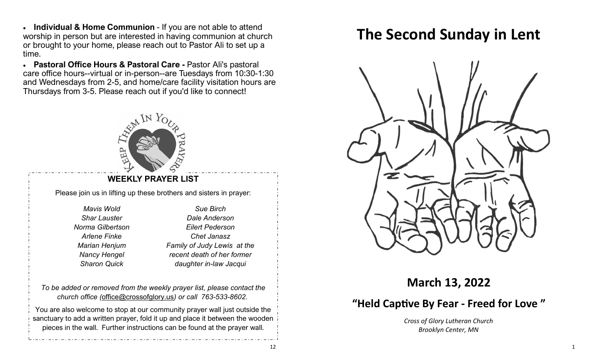• **Individual & Home Communion** - If you are not able to attend worship in person but are interested in having communion at church or brought to your home, please reach out to Pastor Ali to set up a time.

• **Pastoral Office Hours & Pastoral Care -** Pastor Ali's pastoral care office hours--virtual or in-person--are Tuesdays from 10:30-1:30 and Wednesdays from 2-5, and home/care facility visitation hours are Thursdays from 3-5. Please reach out if you'd like to connect!



### **WEEKLY PRAYER LIST**

Please join us in lifting up these brothers and sisters in prayer:

*Mavis Wold Shar Lauster Norma Gilbertson Arlene Finke Marian Henjum Nancy Hengel Sharon Quick* 

*Sue Birch Dale Anderson Eilert Pederson Chet Janasz Family of Judy Lewis at the recent death of her former daughter in-law Jacqui*

*To be added or removed from the weekly prayer list, please contact the church office (*[office@crossofglory.us](mailto:office@crossofglory.us)*) or call 763-533-8602.*

You are also welcome to stop at our community prayer wall just outside the sanctuary to add a written prayer, fold it up and place it between the wooden pieces in the wall. Further instructions can be found at the prayer wall.

# **The Second Sunday in Lent**



**March 13, 2022**

# **"Held Captive By Fear - Freed for Love "**

*Cross of Glory Lutheran Church Brooklyn Center, MN*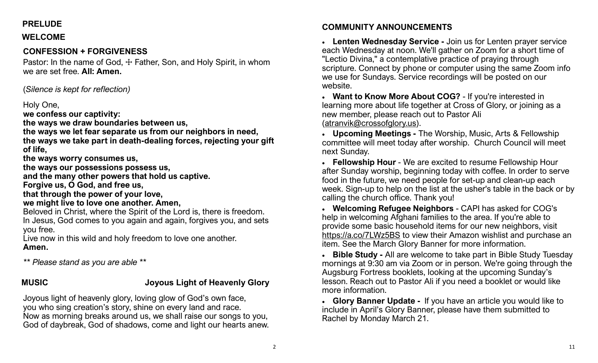# **PRELUDE**

#### **WELCOME**

# **CONFESSION + FORGIVENESS**

Pastor: In the name of God,  $\pm$  Father, Son, and Holy Spirit, in whom we are set free. **All: Amen.**

(*Silence is kept for reflection)*

### Holy One,

**we confess our captivity:**

**the ways we draw boundaries between us,**

**the ways we let fear separate us from our neighbors in need,**

**the ways we take part in death-dealing forces, rejecting your gift of life,**

**the ways worry consumes us,**

**the ways our possessions possess us,**

**and the many other powers that hold us captive.**

**Forgive us, O God, and free us,**

**that through the power of your love,**

**we might live to love one another. Amen,**

Beloved in Christ, where the Spirit of the Lord is, there is freedom. In Jesus, God comes to you again and again, forgives you, and sets you free.

Live now in this wild and holy freedom to love one another. **Amen.**

*\*\* Please stand as you are able \*\**

# **MUSIC Joyous Light of Heavenly Glory**

Joyous light of heavenly glory, loving glow of God's own face, you who sing creation's story, shine on every land and race. Now as morning breaks around us, we shall raise our songs to you, God of daybreak, God of shadows, come and light our hearts anew.

# **COMMUNITY ANNOUNCEMENTS**

• **Lenten Wednesday Service -** Join us for Lenten prayer service each Wednesday at noon. We'll gather on Zoom for a short time of "Lectio Divina," a contemplative practice of praying through scripture. Connect by phone or computer using the same Zoom info we use for Sundays. Service recordings will be posted on our website.

• **Want to Know More About COG?** - If you're interested in learning more about life together at Cross of Glory, or joining as a new member, please reach out to Pastor Ali ([atranvik@crossofglory.us\)](mailto:atranvik@crossofglory.us).

• **Upcoming Meetings -** The Worship, Music, Arts & Fellowship committee will meet today after worship. Church Council will meet next Sunday.

• **Fellowship Hour** - We are excited to resume Fellowship Hour after Sunday worship, beginning today with coffee. In order to serve food in the future, we need people for set-up and clean-up each week. Sign-up to help on the list at the usher's table in the back or by calling the church office. Thank you!

• **Welcoming Refugee Neighbors** - CAPI has asked for COG's help in welcoming Afghani families to the area. If you're able to provide some basic household items for our new neighbors, visit <https://a.co/7LWz5BS> to view their Amazon wishlist and purchase an item. See the March Glory Banner for more information.

• **Bible Study -** All are welcome to take part in Bible Study Tuesday mornings at 9:30 am via Zoom or in person. We're going through the Augsburg Fortress booklets, looking at the upcoming Sunday's lesson. Reach out to Pastor Ali if you need a booklet or would like more information.

• **Glory Banner Update -** If you have an article you would like to include in April's Glory Banner, please have them submitted to Rachel by Monday March 21.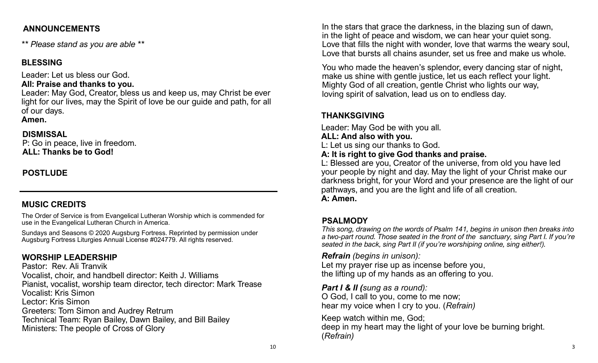### **ANNOUNCEMENTS**

*\*\* Please stand as you are able \*\**

# **BLESSING**

Leader: Let us bless our God.

### **All: Praise and thanks to you.**

Leader: May God, Creator, bless us and keep us, may Christ be ever light for our lives, may the Spirit of love be our guide and path, for all of our days.

#### **Amen.**

# **DISMISSAL**

P: Go in peace, live in freedom. **ALL: Thanks be to God!**

# **POSTLUDE**

# **MUSIC CREDITS**

The Order of Service is from Evangelical Lutheran Worship which is commended for use in the Evangelical Lutheran Church in America.

Sundays and Seasons © 2020 Augsburg Fortress. Reprinted by permission under Augsburg Fortress Liturgies Annual License #024779. All rights reserved.

# **WORSHIP LEADERSHIP**

Pastor: Rev. Ali Tranvik Vocalist, choir, and handbell director: Keith J. Williams Pianist, vocalist, worship team director, tech director: Mark Trease Vocalist: Kris Simon Lector: Kris Simon Greeters: Tom Simon and Audrey Retrum Technical Team: Ryan Bailey, Dawn Bailey, and Bill Bailey Ministers: The people of Cross of Glory

In the stars that grace the darkness, in the blazing sun of dawn, in the light of peace and wisdom, we can hear your quiet song. Love that fills the night with wonder, love that warms the weary soul, Love that bursts all chains asunder, set us free and make us whole.

You who made the heaven's splendor, every dancing star of night, make us shine with gentle justice, let us each reflect your light. Mighty God of all creation, gentle Christ who lights our way, loving spirit of salvation, lead us on to endless day.

# **THANKSGIVING**

Leader: May God be with you all.

#### **ALL: And also with you.**

L: Let us sing our thanks to God.

#### **A: It is right to give God thanks and praise.**

L: Blessed are you, Creator of the universe, from old you have led your people by night and day. May the light of your Christ make our darkness bright, for your Word and your presence are the light of our pathways, and you are the light and life of all creation. **A: Amen.**

# **PSALMODY**

*This song, drawing on the words of Psalm 141, begins in unison then breaks into a two-part round. Those seated in the front of the sanctuary, sing Part I. If you're seated in the back, sing Part II (if you're worshiping online, sing either!).*

### *Refrain (begins in unison):*

Let my prayer rise up as incense before you, the lifting up of my hands as an offering to you.

*Part I & II (sung as a round):* 

O God, I call to you, come to me now; hear my voice when I cry to you. (*Refrain)*

Keep watch within me, God; deep in my heart may the light of your love be burning bright. (*Refrain)*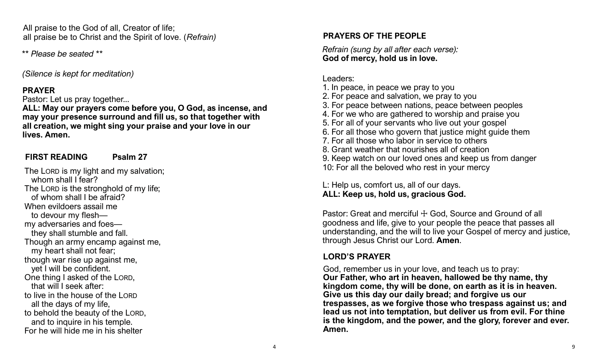All praise to the God of all, Creator of life; all praise be to Christ and the Spirit of love. (*Refrain)*

*\*\* Please be seated \*\**

*(Silence is kept for meditation)*

#### **PRAYER**

Pastor: Let us pray together...

**ALL: May our prayers come before you, O God, as incense, and may your presence surround and fill us, so that together with all creation, we might sing your praise and your love in our lives. Amen.**

#### **FIRST READING Psalm 27**

The LORD is my light and my salvation; whom shall I fear? The LORD is the stronghold of my life; of whom shall I be afraid? When evildoers assail me to devour my flesh my adversaries and foes they shall stumble and fall. Though an army encamp against me, my heart shall not fear; though war rise up against me, yet I will be confident. One thing I asked of the LORD, that will I seek after: to live in the house of the LORD all the days of my life, to behold the beauty of the LORD, and to inquire in his temple. For he will hide me in his shelter

#### **PRAYERS OF THE PEOPLE**

*Refrain (sung by all after each verse):* **God of mercy, hold us in love.**

#### Leaders:

- 1. In peace, in peace we pray to you
- 2. For peace and salvation, we pray to you
- 3. For peace between nations, peace between peoples
- 4. For we who are gathered to worship and praise you
- 5. For all of your servants who live out your gospel
- 6. For all those who govern that justice might guide them
- 7. For all those who labor in service to others
- 8. Grant weather that nourishes all of creation
- 9. Keep watch on our loved ones and keep us from danger
- 10: For all the beloved who rest in your mercy

L: Help us, comfort us, all of our days. **ALL: Keep us, hold us, gracious God.**

Pastor: Great and merciful  $+$  God, Source and Ground of all goodness and life, give to your people the peace that passes all understanding, and the will to live your Gospel of mercy and justice, through Jesus Christ our Lord. **Amen**.

# **LORD'S PRAYER**

God, remember us in your love, and teach us to pray: **Our Father, who art in heaven, hallowed be thy name, thy kingdom come, thy will be done, on earth as it is in heaven. Give us this day our daily bread; and forgive us our trespasses, as we forgive those who trespass against us; and lead us not into temptation, but deliver us from evil. For thine is the kingdom, and the power, and the glory, forever and ever. Amen.**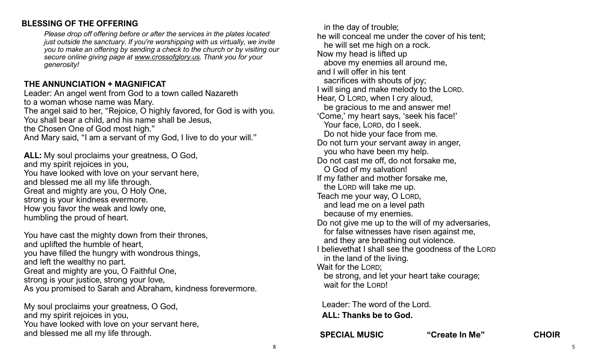### **BLESSING OF THE OFFERING**

*Please drop off offering before or after the services in the plates located just outside the sanctuary. If you're worshipping with us virtually, we invite you to make an offering by sending a check to the church or by visiting our secure online giving page at [www.crossofglory.us.](http://www.crossofglory.us/) Thank you for your generosity!*

#### **THE ANNUNCIATION + MAGNIFICAT**

Leader: An angel went from God to a town called Nazareth to a woman whose name was Mary. The angel said to her, "Rejoice, O highly favored, for God is with you. You shall bear a child, and his name shall be Jesus, the Chosen One of God most high." And Mary said, "I am a servant of my God, I live to do your will."

**ALL:** My soul proclaims your greatness, O God, and my spirit rejoices in you, You have looked with love on your servant here, and blessed me all my life through. Great and mighty are you, O Holy One, strong is your kindness evermore. How you favor the weak and lowly one, humbling the proud of heart.

You have cast the mighty down from their thrones, and uplifted the humble of heart, you have filled the hungry with wondrous things, and left the wealthy no part. Great and mighty are you, O Faithful One, strong is your justice, strong your love, As you promised to Sarah and Abraham, kindness forevermore.

My soul proclaims your greatness, O God, and my spirit rejoices in you, You have looked with love on your servant here, and blessed me all my life through.

 in the day of trouble; he will conceal me under the cover of his tent; he will set me high on a rock. Now my head is lifted up above my enemies all around me, and I will offer in his tent sacrifices with shouts of joy; I will sing and make melody to the LORD. Hear, O LORD, when I cry aloud, be gracious to me and answer me! 'Come,' my heart says, 'seek his face!' Your face, LORD, do I seek. Do not hide your face from me. Do not turn your servant away in anger, you who have been my help. Do not cast me off, do not forsake me, O God of my salvation! If my father and mother forsake me, the LORD will take me up. Teach me your way, O LORD, and lead me on a level path because of my enemies. Do not give me up to the will of my adversaries, for false witnesses have risen against me, and they are breathing out violence. I believethat I shall see the goodness of the LORD in the land of the living. Wait for the LORD; be strong, and let your heart take courage; wait for the LORD!

Leader: The word of the Lord. **ALL: Thanks be to God.**

**SPECIAL MUSIC "Create In Me" CHOIR**